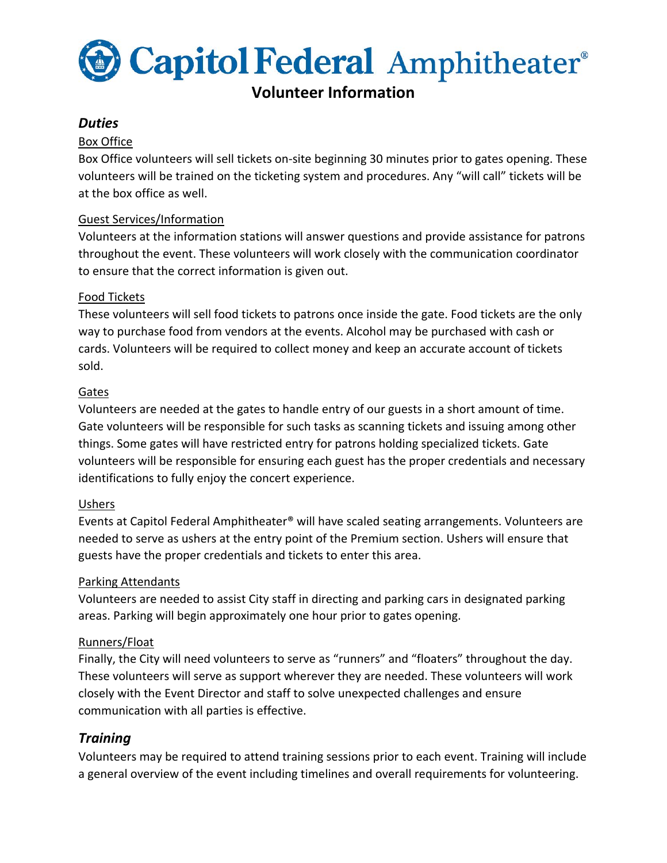

# **Volunteer Information**

# *Duties*

#### Box Office

Box Office volunteers will sell tickets on-site beginning 30 minutes prior to gates opening. These volunteers will be trained on the ticketing system and procedures. Any "will call" tickets will be at the box office as well.

#### Guest Services/Information

Volunteers at the information stations will answer questions and provide assistance for patrons throughout the event. These volunteers will work closely with the communication coordinator to ensure that the correct information is given out.

#### Food Tickets

These volunteers will sell food tickets to patrons once inside the gate. Food tickets are the only way to purchase food from vendors at the events. Alcohol may be purchased with cash or cards. Volunteers will be required to collect money and keep an accurate account of tickets sold.

## Gates

Volunteers are needed at the gates to handle entry of our guests in a short amount of time. Gate volunteers will be responsible for such tasks as scanning tickets and issuing among other things. Some gates will have restricted entry for patrons holding specialized tickets. Gate volunteers will be responsible for ensuring each guest has the proper credentials and necessary identifications to fully enjoy the concert experience.

## Ushers

Events at Capitol Federal Amphitheater® will have scaled seating arrangements. Volunteers are needed to serve as ushers at the entry point of the Premium section. Ushers will ensure that guests have the proper credentials and tickets to enter this area.

#### Parking Attendants

Volunteers are needed to assist City staff in directing and parking cars in designated parking areas. Parking will begin approximately one hour prior to gates opening.

#### Runners/Float

Finally, the City will need volunteers to serve as "runners" and "floaters" throughout the day. These volunteers will serve as support wherever they are needed. These volunteers will work closely with the Event Director and staff to solve unexpected challenges and ensure communication with all parties is effective.

## *Training*

Volunteers may be required to attend training sessions prior to each event. Training will include a general overview of the event including timelines and overall requirements for volunteering.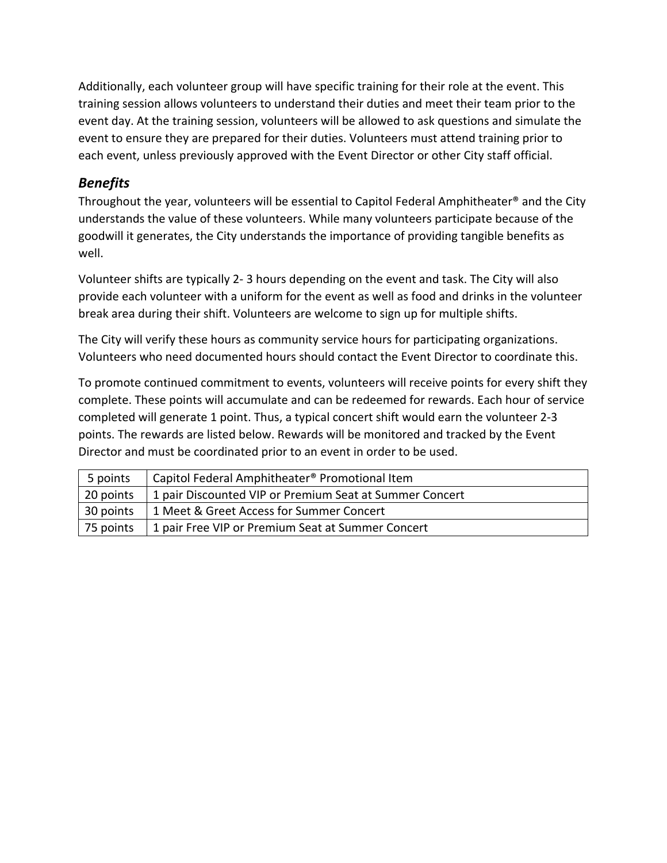Additionally, each volunteer group will have specific training for their role at the event. This training session allows volunteers to understand their duties and meet their team prior to the event day. At the training session, volunteers will be allowed to ask questions and simulate the event to ensure they are prepared for their duties. Volunteers must attend training prior to each event, unless previously approved with the Event Director or other City staff official.

# *Benefits*

Throughout the year, volunteers will be essential to Capitol Federal Amphitheater® and the City understands the value of these volunteers. While many volunteers participate because of the goodwill it generates, the City understands the importance of providing tangible benefits as well.

Volunteer shifts are typically 2- 3 hours depending on the event and task. The City will also provide each volunteer with a uniform for the event as well as food and drinks in the volunteer break area during their shift. Volunteers are welcome to sign up for multiple shifts.

The City will verify these hours as community service hours for participating organizations. Volunteers who need documented hours should contact the Event Director to coordinate this.

To promote continued commitment to events, volunteers will receive points for every shift they complete. These points will accumulate and can be redeemed for rewards. Each hour of service completed will generate 1 point. Thus, a typical concert shift would earn the volunteer 2-3 points. The rewards are listed below. Rewards will be monitored and tracked by the Event Director and must be coordinated prior to an event in order to be used.

| 5 points  | Capitol Federal Amphitheater <sup>®</sup> Promotional Item |
|-----------|------------------------------------------------------------|
| 20 points | 1 pair Discounted VIP or Premium Seat at Summer Concert    |
| 30 points | 1 Meet & Greet Access for Summer Concert                   |
| 75 points | 1 pair Free VIP or Premium Seat at Summer Concert          |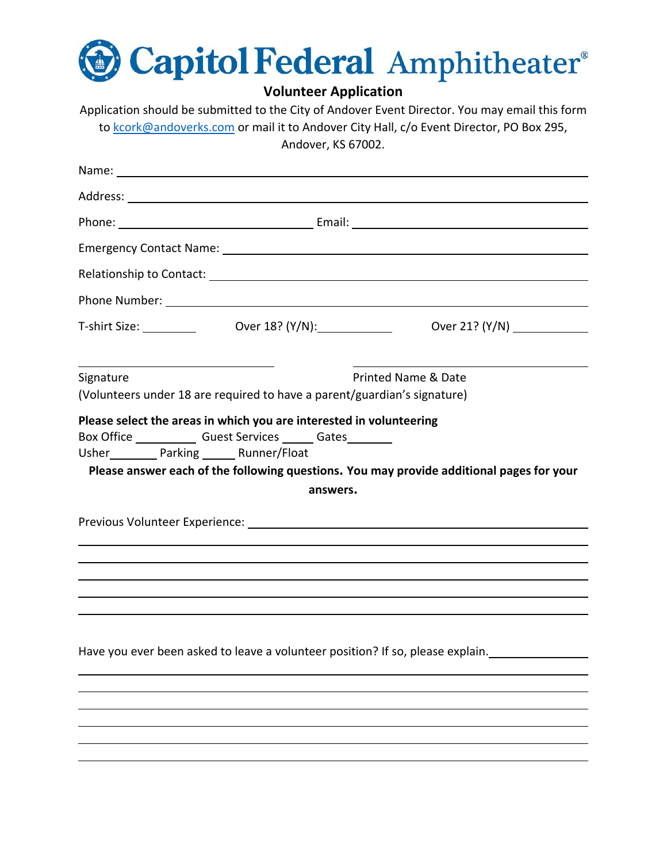

**Volunteer Application**

Application should be submitted to the City of Andover Event Director. You may email this form to [kcork@andoverks.com](mailto:kcork@andoverks.com) or mail it to Andover City Hall, c/o Event Director, PO Box 295, Andover, KS 67002.

| Address: <u>Address: Address: Address: Address: Address: Address: Address: Address: Address: Address: Address: Address: Address: Address: Address: Address: Address: Address: Address: Address: Address: Address: Address: Addre</u> |          |                                                                                                                                                                  |
|--------------------------------------------------------------------------------------------------------------------------------------------------------------------------------------------------------------------------------------|----------|------------------------------------------------------------------------------------------------------------------------------------------------------------------|
|                                                                                                                                                                                                                                      |          |                                                                                                                                                                  |
|                                                                                                                                                                                                                                      |          |                                                                                                                                                                  |
|                                                                                                                                                                                                                                      |          |                                                                                                                                                                  |
|                                                                                                                                                                                                                                      |          |                                                                                                                                                                  |
|                                                                                                                                                                                                                                      |          | T-shirt Size: ___________    Over 18? (Y/N):______________    Over 21? (Y/N) ___________                                                                         |
|                                                                                                                                                                                                                                      |          |                                                                                                                                                                  |
| Signature<br>(Volunteers under 18 are required to have a parent/guardian's signature)                                                                                                                                                |          | <b>Printed Name &amp; Date</b>                                                                                                                                   |
| Usher___________ Parking _______ Runner/Float                                                                                                                                                                                        | answers. | Please answer each of the following questions. You may provide additional pages for your                                                                         |
|                                                                                                                                                                                                                                      |          |                                                                                                                                                                  |
|                                                                                                                                                                                                                                      |          |                                                                                                                                                                  |
|                                                                                                                                                                                                                                      |          |                                                                                                                                                                  |
|                                                                                                                                                                                                                                      |          | ,我们也不能在这里的时候,我们也不能不能不能不能不能不能不能不能不能不能不能不能不能不能不能不能。""我们,我们也不能不能不能不能不能不能不能不能不能不能不能不                                                                                 |
|                                                                                                                                                                                                                                      |          | Have you ever been asked to leave a volunteer position? If so, please explain.<br>Have you ever been asked to leave a volunteer position? If so, please explain. |
|                                                                                                                                                                                                                                      |          |                                                                                                                                                                  |
|                                                                                                                                                                                                                                      |          |                                                                                                                                                                  |
|                                                                                                                                                                                                                                      |          |                                                                                                                                                                  |
|                                                                                                                                                                                                                                      |          |                                                                                                                                                                  |
|                                                                                                                                                                                                                                      |          |                                                                                                                                                                  |